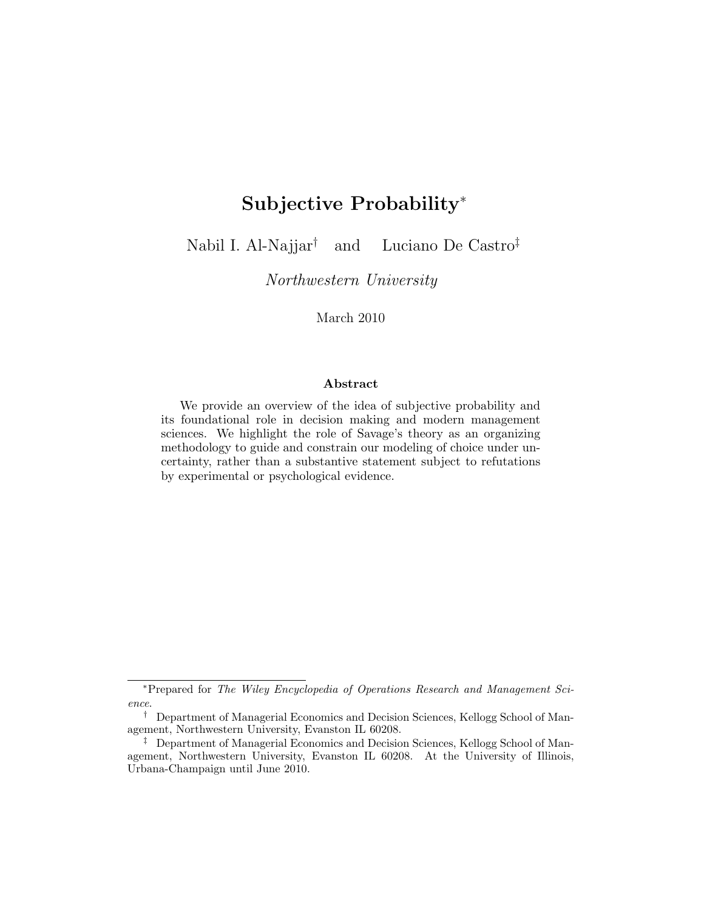# Subjective Probability<sup>∗</sup>

Nabil I. Al-Najjar† and Luciano De Castro‡

Northwestern University

March 2010

#### Abstract

We provide an overview of the idea of subjective probability and its foundational role in decision making and modern management sciences. We highlight the role of Savage's theory as an organizing methodology to guide and constrain our modeling of choice under uncertainty, rather than a substantive statement subject to refutations by experimental or psychological evidence.

<sup>∗</sup>Prepared for The Wiley Encyclopedia of Operations Research and Management Science.

<sup>†</sup> Department of Managerial Economics and Decision Sciences, Kellogg School of Management, Northwestern University, Evanston IL 60208.

<sup>‡</sup> Department of Managerial Economics and Decision Sciences, Kellogg School of Management, Northwestern University, Evanston IL 60208. At the University of Illinois, Urbana-Champaign until June 2010.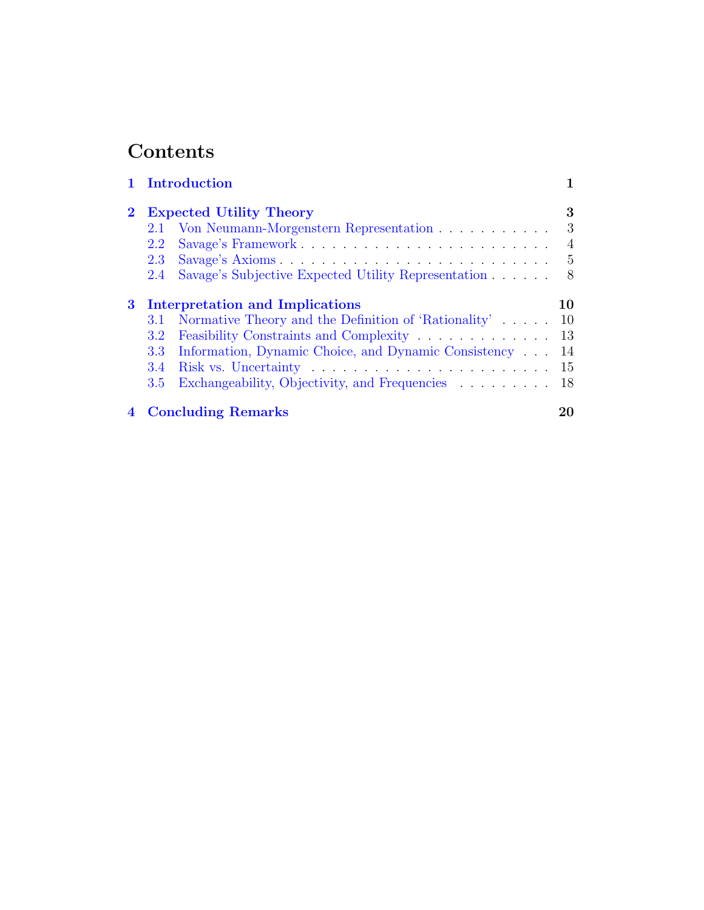# Contents

|   |                                 | 1 Introduction                                       |                |
|---|---------------------------------|------------------------------------------------------|----------------|
|   | <b>Expected Utility Theory</b>  |                                                      | 3              |
|   | 2.1                             | Von Neumann-Morgenstern Representation               | 3              |
|   | 2.2                             |                                                      | $\overline{4}$ |
|   | 2.3                             | Savage's Axioms                                      | 5              |
|   | 2.4                             | Savage's Subjective Expected Utility Representation  | 8              |
| 3 | Interpretation and Implications |                                                      | 10             |
|   | 3.1                             | Normative Theory and the Definition of 'Rationality' | 10             |
|   | 3.2                             | Feasibility Constraints and Complexity               | 13             |
|   | 3.3                             | Information, Dynamic Choice, and Dynamic Consistency | 14             |
|   | 3.4                             |                                                      | 15             |
|   | 3.5                             | Exchangeability, Objectivity, and Frequencies        | 18             |
|   |                                 | <b>4</b> Concluding Remarks                          | 20             |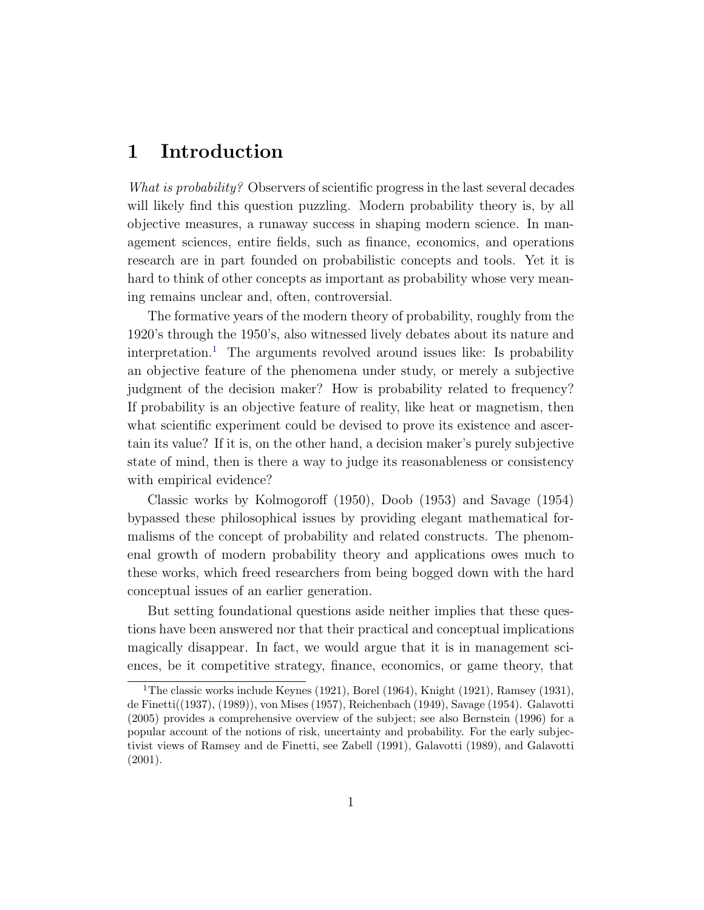# <span id="page-2-0"></span>1 Introduction

What is probability? Observers of scientific progress in the last several decades will likely find this question puzzling. Modern probability theory is, by all objective measures, a runaway success in shaping modern science. In management sciences, entire fields, such as finance, economics, and operations research are in part founded on probabilistic concepts and tools. Yet it is hard to think of other concepts as important as probability whose very meaning remains unclear and, often, controversial.

The formative years of the modern theory of probability, roughly from the 1920's through the 1950's, also witnessed lively debates about its nature and interpretation.<sup>[1](#page-2-1)</sup> The arguments revolved around issues like: Is probability an objective feature of the phenomena under study, or merely a subjective judgment of the decision maker? How is probability related to frequency? If probability is an objective feature of reality, like heat or magnetism, then what scientific experiment could be devised to prove its existence and ascertain its value? If it is, on the other hand, a decision maker's purely subjective state of mind, then is there a way to judge its reasonableness or consistency with empirical evidence?

Classic works by Kolmogoroff (1950), Doob (1953) and Savage (1954) bypassed these philosophical issues by providing elegant mathematical formalisms of the concept of probability and related constructs. The phenomenal growth of modern probability theory and applications owes much to these works, which freed researchers from being bogged down with the hard conceptual issues of an earlier generation.

But setting foundational questions aside neither implies that these questions have been answered nor that their practical and conceptual implications magically disappear. In fact, we would argue that it is in management sciences, be it competitive strategy, finance, economics, or game theory, that

<span id="page-2-1"></span><sup>&</sup>lt;sup>1</sup>The classic works include Keynes (1921), Borel (1964), Knight (1921), Ramsey (1931), de Finetti((1937), (1989)), von Mises (1957), Reichenbach (1949), Savage (1954). Galavotti (2005) provides a comprehensive overview of the subject; see also Bernstein (1996) for a popular account of the notions of risk, uncertainty and probability. For the early subjectivist views of Ramsey and de Finetti, see Zabell (1991), Galavotti (1989), and Galavotti (2001).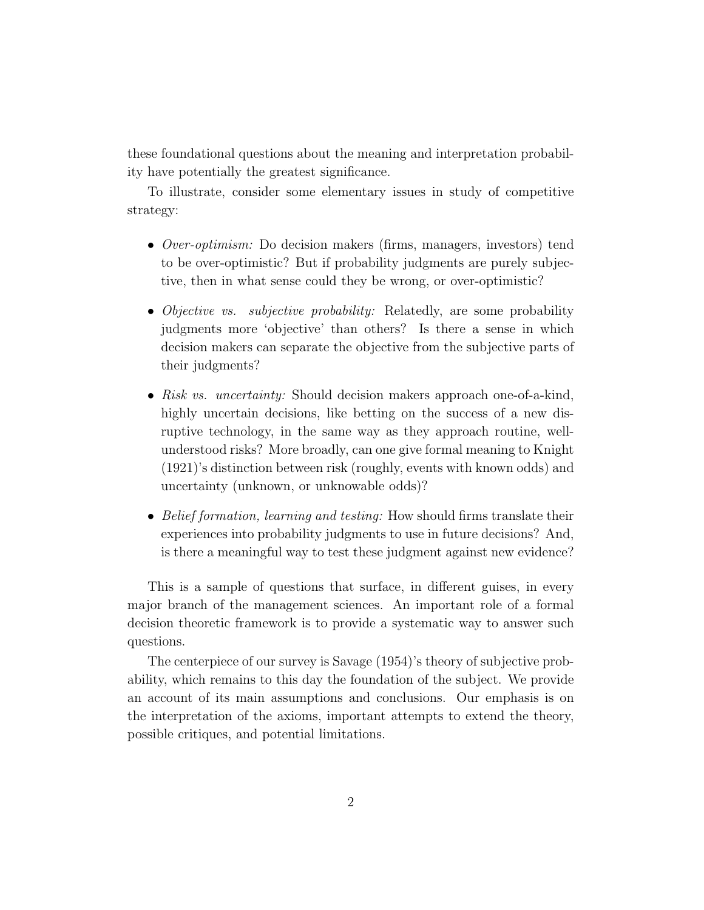these foundational questions about the meaning and interpretation probability have potentially the greatest significance.

To illustrate, consider some elementary issues in study of competitive strategy:

- *Over-optimism:* Do decision makers (firms, managers, investors) tend to be over-optimistic? But if probability judgments are purely subjective, then in what sense could they be wrong, or over-optimistic?
- Objective vs. subjective probability: Relatedly, are some probability judgments more 'objective' than others? Is there a sense in which decision makers can separate the objective from the subjective parts of their judgments?
- Risk vs. uncertainty: Should decision makers approach one-of-a-kind, highly uncertain decisions, like betting on the success of a new disruptive technology, in the same way as they approach routine, wellunderstood risks? More broadly, can one give formal meaning to Knight (1921)'s distinction between risk (roughly, events with known odds) and uncertainty (unknown, or unknowable odds)?
- Belief formation, learning and testing: How should firms translate their experiences into probability judgments to use in future decisions? And, is there a meaningful way to test these judgment against new evidence?

This is a sample of questions that surface, in different guises, in every major branch of the management sciences. An important role of a formal decision theoretic framework is to provide a systematic way to answer such questions.

The centerpiece of our survey is Savage (1954)'s theory of subjective probability, which remains to this day the foundation of the subject. We provide an account of its main assumptions and conclusions. Our emphasis is on the interpretation of the axioms, important attempts to extend the theory, possible critiques, and potential limitations.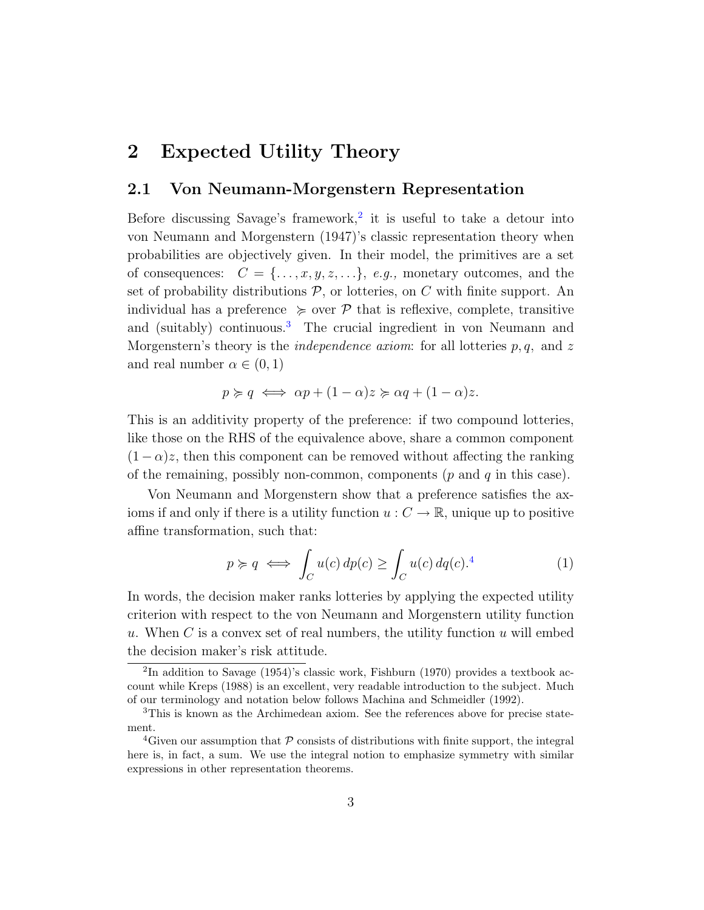# <span id="page-4-0"></span>2 Expected Utility Theory

### <span id="page-4-1"></span>2.1 Von Neumann-Morgenstern Representation

Before discussing Savage's framework,<sup>[2](#page-4-2)</sup> it is useful to take a detour into von Neumann and Morgenstern (1947)'s classic representation theory when probabilities are objectively given. In their model, the primitives are a set of consequences:  $C = \{ \ldots, x, y, z, \ldots \}, e.g.,$  monetary outcomes, and the set of probability distributions  $P$ , or lotteries, on  $C$  with finite support. An individual has a preference  $\succeq$  over P that is reflexive, complete, transitive and (suitably) continuous.<sup>[3](#page-4-3)</sup> The crucial ingredient in von Neumann and Morgenstern's theory is the *independence axiom*: for all lotteries  $p, q$ , and z and real number  $\alpha \in (0,1)$ 

$$
p \succcurlyeq q \iff \alpha p + (1 - \alpha)z \succcurlyeq \alpha q + (1 - \alpha)z.
$$

This is an additivity property of the preference: if two compound lotteries, like those on the RHS of the equivalence above, share a common component  $(1 - \alpha)z$ , then this component can be removed without affecting the ranking of the remaining, possibly non-common, components  $(p \text{ and } q \text{ in this case}).$ 

Von Neumann and Morgenstern show that a preference satisfies the axioms if and only if there is a utility function  $u: C \to \mathbb{R}$ , unique up to positive affine transformation, such that:

$$
p \succcurlyeq q \iff \int_C u(c) \, dp(c) \ge \int_C u(c) \, dq(c).^4 \tag{1}
$$

In words, the decision maker ranks lotteries by applying the expected utility criterion with respect to the von Neumann and Morgenstern utility function u. When C is a convex set of real numbers, the utility function  $u$  will embed the decision maker's risk attitude.

<span id="page-4-2"></span><sup>&</sup>lt;sup>2</sup>In addition to Savage (1954)'s classic work, Fishburn (1970) provides a textbook account while Kreps (1988) is an excellent, very readable introduction to the subject. Much of our terminology and notation below follows Machina and Schmeidler (1992).

<span id="page-4-3"></span><sup>3</sup>This is known as the Archimedean axiom. See the references above for precise statement.

<span id="page-4-4"></span><sup>&</sup>lt;sup>4</sup>Given our assumption that  $P$  consists of distributions with finite support, the integral here is, in fact, a sum. We use the integral notion to emphasize symmetry with similar expressions in other representation theorems.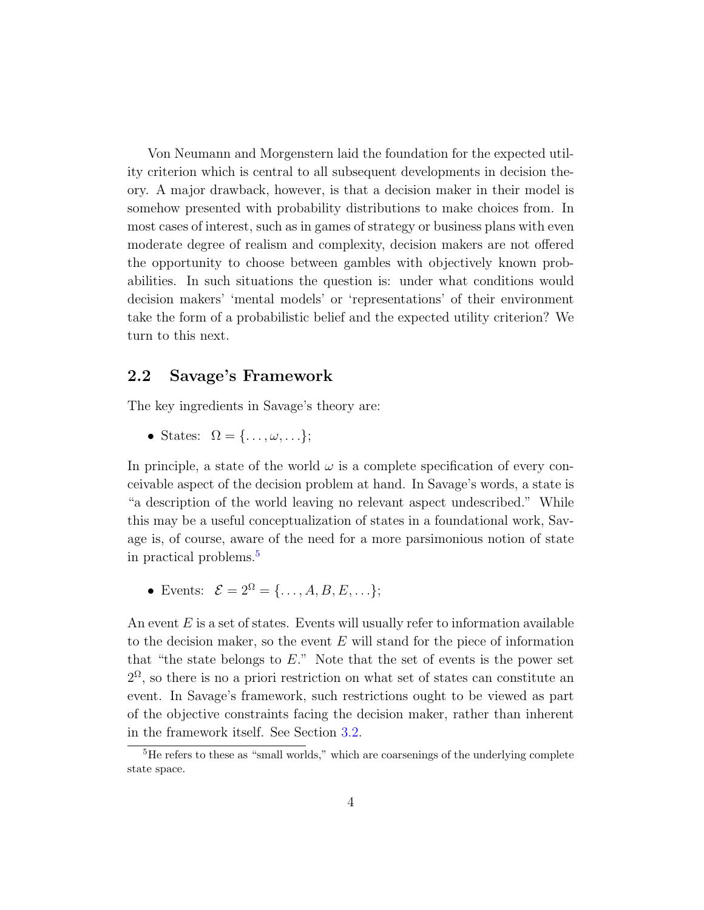Von Neumann and Morgenstern laid the foundation for the expected utility criterion which is central to all subsequent developments in decision theory. A major drawback, however, is that a decision maker in their model is somehow presented with probability distributions to make choices from. In most cases of interest, such as in games of strategy or business plans with even moderate degree of realism and complexity, decision makers are not offered the opportunity to choose between gambles with objectively known probabilities. In such situations the question is: under what conditions would decision makers' 'mental models' or 'representations' of their environment take the form of a probabilistic belief and the expected utility criterion? We turn to this next.

### <span id="page-5-0"></span>2.2 Savage's Framework

The key ingredients in Savage's theory are:

• States:  $\Omega = \{ \ldots, \omega, \ldots \};$ 

In principle, a state of the world  $\omega$  is a complete specification of every conceivable aspect of the decision problem at hand. In Savage's words, a state is "a description of the world leaving no relevant aspect undescribed." While this may be a useful conceptualization of states in a foundational work, Savage is, of course, aware of the need for a more parsimonious notion of state in practical problems.[5](#page-5-1)

• Events:  $\mathcal{E} = 2^{\Omega} = \{ \dots, A, B, E, \dots \};$ 

An event  $E$  is a set of states. Events will usually refer to information available to the decision maker, so the event  $E$  will stand for the piece of information that "the state belongs to  $E$ ." Note that the set of events is the power set  $2^{\Omega}$ , so there is no a priori restriction on what set of states can constitute an event. In Savage's framework, such restrictions ought to be viewed as part of the objective constraints facing the decision maker, rather than inherent in the framework itself. See Section [3.2.](#page-14-0)

<span id="page-5-1"></span><sup>&</sup>lt;sup>5</sup>He refers to these as "small worlds," which are coarsenings of the underlying complete state space.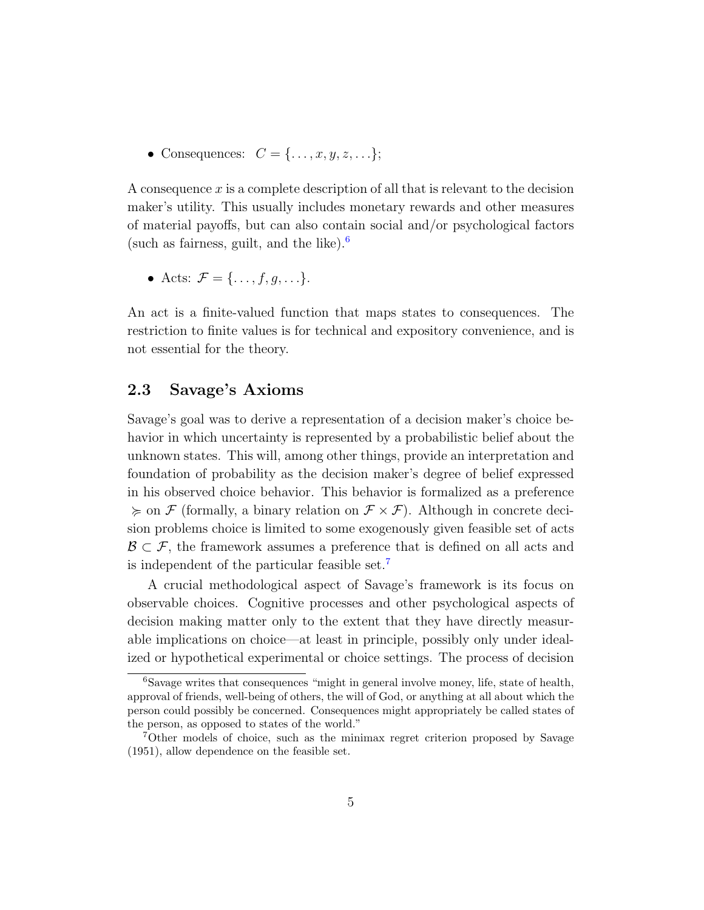• Consequences:  $C = \{ \ldots, x, y, z, \ldots \};$ 

A consequence  $x$  is a complete description of all that is relevant to the decision maker's utility. This usually includes monetary rewards and other measures of material payoffs, but can also contain social and/or psychological factors (such as fairness, guilt, and the like). $<sup>6</sup>$  $<sup>6</sup>$  $<sup>6</sup>$ </sup>

• Acts:  $\mathcal{F} = \{\ldots, f, g, \ldots\}.$ 

An act is a finite-valued function that maps states to consequences. The restriction to finite values is for technical and expository convenience, and is not essential for the theory.

### <span id="page-6-0"></span>2.3 Savage's Axioms

Savage's goal was to derive a representation of a decision maker's choice behavior in which uncertainty is represented by a probabilistic belief about the unknown states. This will, among other things, provide an interpretation and foundation of probability as the decision maker's degree of belief expressed in his observed choice behavior. This behavior is formalized as a preference  $\succeq$  on F (formally, a binary relation on  $\mathcal{F} \times \mathcal{F}$ ). Although in concrete decision problems choice is limited to some exogenously given feasible set of acts  $\mathcal{B} \subset \mathcal{F}$ , the framework assumes a preference that is defined on all acts and is independent of the particular feasible set.[7](#page-6-2)

A crucial methodological aspect of Savage's framework is its focus on observable choices. Cognitive processes and other psychological aspects of decision making matter only to the extent that they have directly measurable implications on choice—at least in principle, possibly only under idealized or hypothetical experimental or choice settings. The process of decision

<span id="page-6-1"></span><sup>6</sup>Savage writes that consequences "might in general involve money, life, state of health, approval of friends, well-being of others, the will of God, or anything at all about which the person could possibly be concerned. Consequences might appropriately be called states of the person, as opposed to states of the world."

<span id="page-6-2"></span><sup>7</sup>Other models of choice, such as the minimax regret criterion proposed by Savage (1951), allow dependence on the feasible set.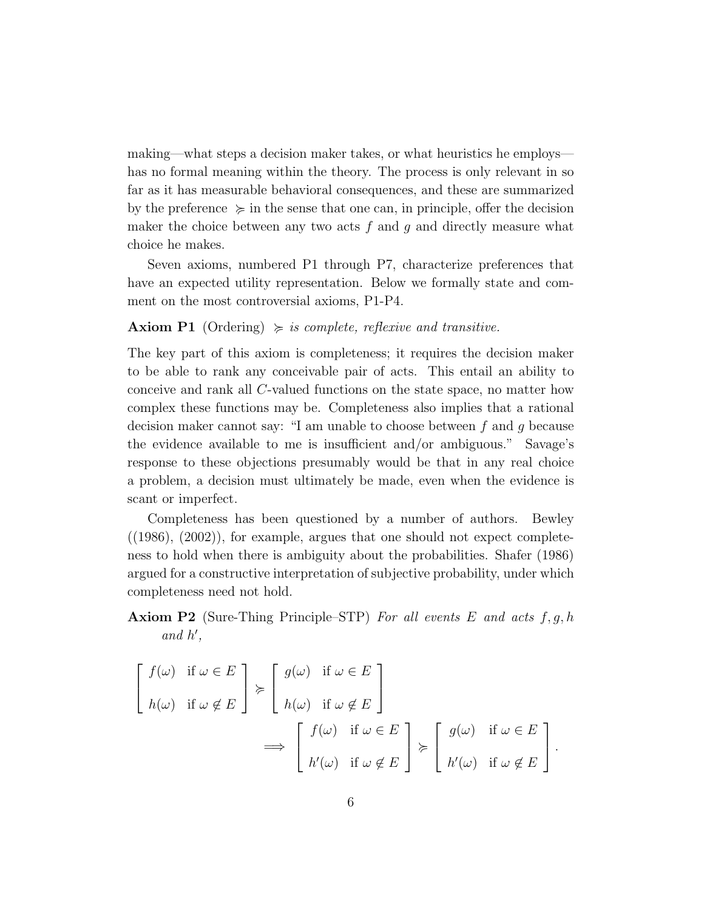making—what steps a decision maker takes, or what heuristics he employs has no formal meaning within the theory. The process is only relevant in so far as it has measurable behavioral consequences, and these are summarized by the preference  $\succeq$  in the sense that one can, in principle, offer the decision maker the choice between any two acts  $f$  and  $g$  and directly measure what choice he makes.

Seven axioms, numbered P1 through P7, characterize preferences that have an expected utility representation. Below we formally state and comment on the most controversial axioms, P1-P4.

#### **Axiom P1** (Ordering)  $\succeq$  is complete, reflexive and transitive.

The key part of this axiom is completeness; it requires the decision maker to be able to rank any conceivable pair of acts. This entail an ability to conceive and rank all C-valued functions on the state space, no matter how complex these functions may be. Completeness also implies that a rational decision maker cannot say: "I am unable to choose between  $f$  and  $q$  because the evidence available to me is insufficient and/or ambiguous." Savage's response to these objections presumably would be that in any real choice a problem, a decision must ultimately be made, even when the evidence is scant or imperfect.

Completeness has been questioned by a number of authors. Bewley  $((1986), (2002))$ , for example, argues that one should not expect completeness to hold when there is ambiguity about the probabilities. Shafer (1986) argued for a constructive interpretation of subjective probability, under which completeness need not hold.

**Axiom P2** (Sure-Thing Principle–STP) For all events E and acts  $f, g, h$  $and h',$ 

$$
\begin{bmatrix}\nf(\omega) & \text{if } \omega \in E \\
h(\omega) & \text{if } \omega \notin E\n\end{bmatrix} \succcurlyeq \begin{bmatrix}\ng(\omega) & \text{if } \omega \in E \\
h(\omega) & \text{if } \omega \notin E\n\end{bmatrix}
$$
\n
$$
\implies \begin{bmatrix}\nf(\omega) & \text{if } \omega \in E \\
h'(\omega) & \text{if } \omega \notin E\n\end{bmatrix} \succcurlyeq \begin{bmatrix}\ng(\omega) & \text{if } \omega \in E \\
h'(\omega) & \text{if } \omega \notin E\n\end{bmatrix}.
$$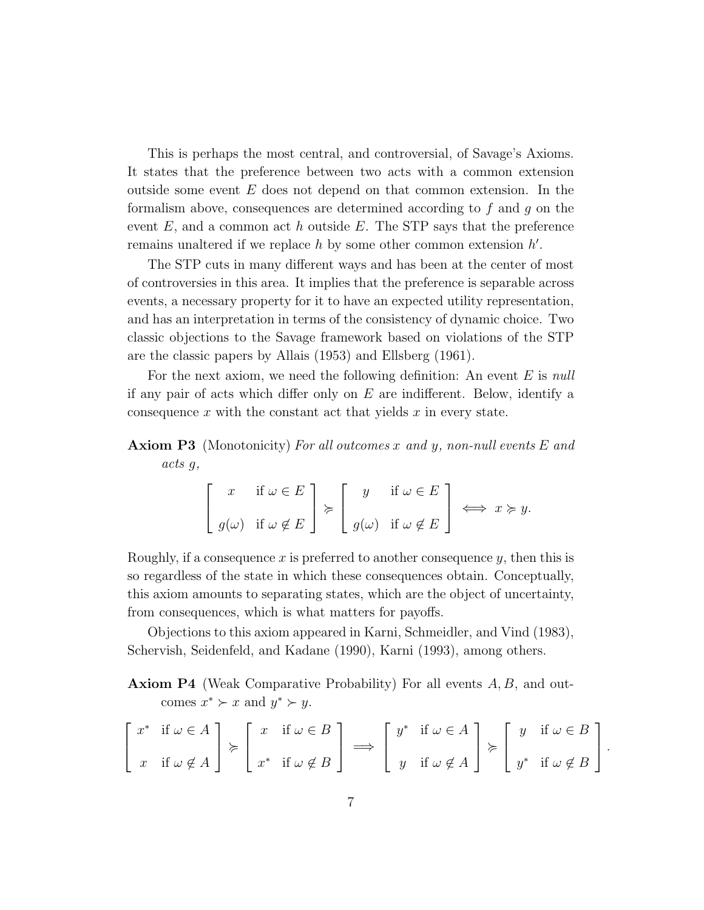This is perhaps the most central, and controversial, of Savage's Axioms. It states that the preference between two acts with a common extension outside some event  $E$  does not depend on that common extension. In the formalism above, consequences are determined according to f and g on the event  $E$ , and a common act h outside  $E$ . The STP says that the preference remains unaltered if we replace  $h$  by some other common extension  $h'$ .

The STP cuts in many different ways and has been at the center of most of controversies in this area. It implies that the preference is separable across events, a necessary property for it to have an expected utility representation, and has an interpretation in terms of the consistency of dynamic choice. Two classic objections to the Savage framework based on violations of the STP are the classic papers by Allais (1953) and Ellsberg (1961).

For the next axiom, we need the following definition: An event  $E$  is *null* if any pair of acts which differ only on  $E$  are indifferent. Below, identify a consequence x with the constant act that yields x in every state.

### **Axiom P3** (Monotonicity) For all outcomes x and y, non-null events E and acts g,

$$
\begin{bmatrix} x & \text{if } \omega \in E \\ g(\omega) & \text{if } \omega \notin E \end{bmatrix} \succcurlyeq \begin{bmatrix} y & \text{if } \omega \in E \\ g(\omega) & \text{if } \omega \notin E \end{bmatrix} \iff x \succcurlyeq y.
$$

Roughly, if a consequence x is preferred to another consequence y, then this is so regardless of the state in which these consequences obtain. Conceptually, this axiom amounts to separating states, which are the object of uncertainty, from consequences, which is what matters for payoffs.

Objections to this axiom appeared in Karni, Schmeidler, and Vind (1983), Schervish, Seidenfeld, and Kadane (1990), Karni (1993), among others.

**Axiom P4** (Weak Comparative Probability) For all events  $A, B$ , and outcomes  $x^* \succ x$  and  $y^* \succ y$ .

$$
\begin{bmatrix} x^* & \text{if } \omega \in A \\ x & \text{if } \omega \notin A \end{bmatrix} \succcurlyeq \begin{bmatrix} x & \text{if } \omega \in B \\ x^* & \text{if } \omega \notin B \end{bmatrix} \implies \begin{bmatrix} y^* & \text{if } \omega \in A \\ y & \text{if } \omega \notin A \end{bmatrix} \succcurlyeq \begin{bmatrix} y & \text{if } \omega \in B \\ y^* & \text{if } \omega \notin B \end{bmatrix}.
$$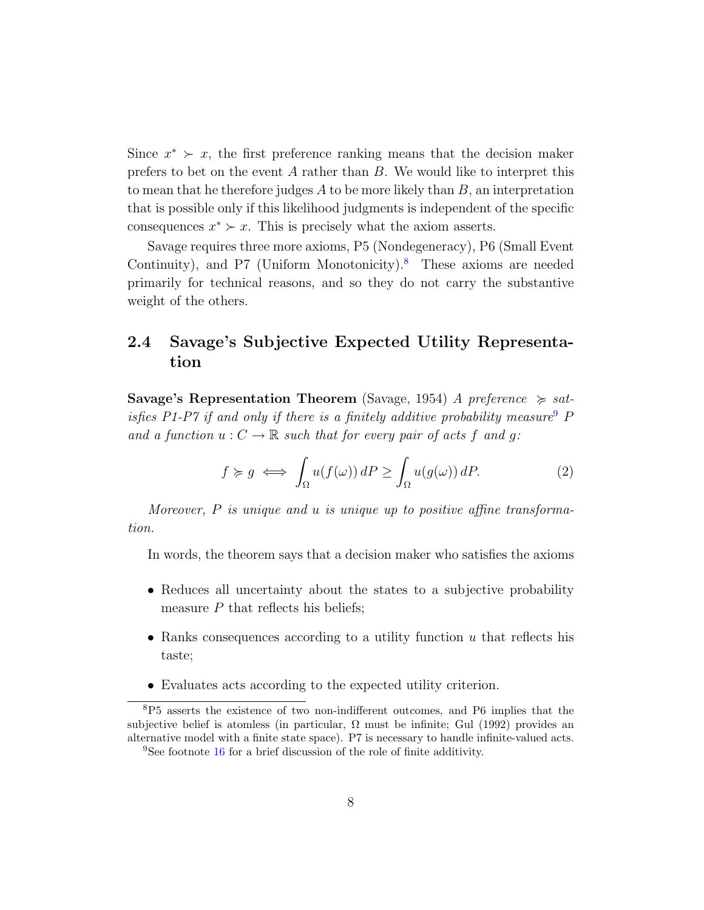Since  $x^* \succ x$ , the first preference ranking means that the decision maker prefers to bet on the event  $A$  rather than  $B$ . We would like to interpret this to mean that he therefore judges  $A$  to be more likely than  $B$ , an interpretation that is possible only if this likelihood judgments is independent of the specific consequences  $x^* \succ x$ . This is precisely what the axiom asserts.

Savage requires three more axioms, P5 (Nondegeneracy), P6 (Small Event Continuity), and P7 (Uniform Monotonicity).<sup>[8](#page-9-1)</sup> These axioms are needed primarily for technical reasons, and so they do not carry the substantive weight of the others.

### <span id="page-9-0"></span>2.4 Savage's Subjective Expected Utility Representation

**Savage's Representation Theorem** (Savage, 1954) A preference  $\succeq sat$ isfies P1-P7 if and only if there is a finitely additive probability measure  $P$ and a function  $u: C \to \mathbb{R}$  such that for every pair of acts f and g:

<span id="page-9-3"></span>
$$
f \succcurlyeq g \iff \int_{\Omega} u(f(\omega)) \, dP \ge \int_{\Omega} u(g(\omega)) \, dP. \tag{2}
$$

Moreover,  $P$  is unique and  $u$  is unique up to positive affine transformation.

In words, the theorem says that a decision maker who satisfies the axioms

- Reduces all uncertainty about the states to a subjective probability measure  $P$  that reflects his beliefs;
- Ranks consequences according to a utility function  $u$  that reflects his taste;
- <span id="page-9-1"></span>• Evaluates acts according to the expected utility criterion.

<sup>8</sup>P5 asserts the existence of two non-indifferent outcomes, and P6 implies that the subjective belief is atomless (in particular,  $\Omega$  must be infinite; Gul (1992) provides an alternative model with a finite state space). P7 is necessary to handle infinite-valued acts.

<span id="page-9-2"></span><sup>&</sup>lt;sup>9</sup>See footnote [16](#page-15-1) for a brief discussion of the role of finite additivity.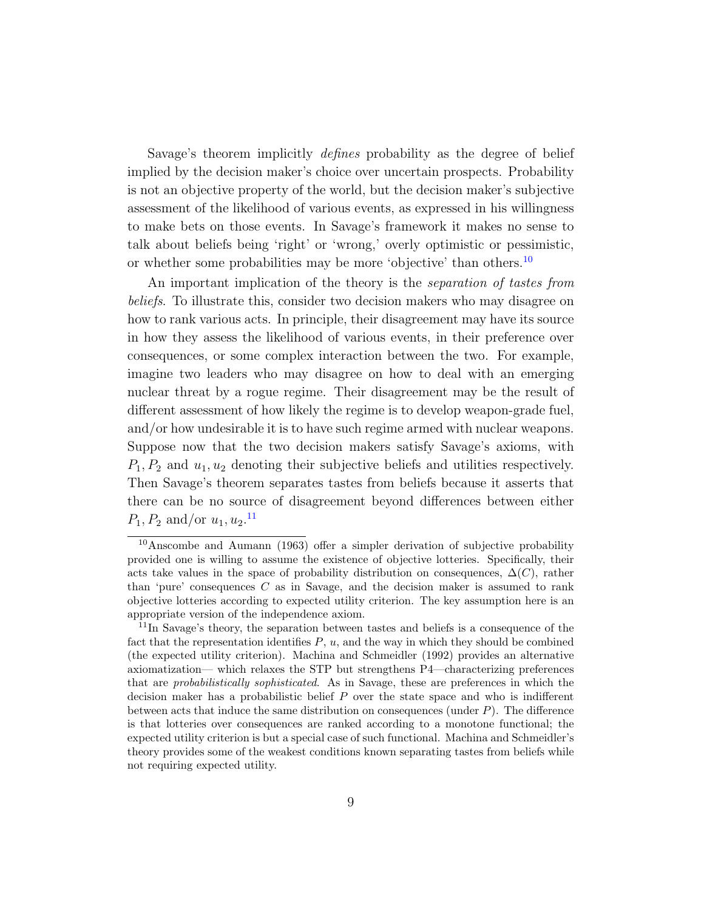Savage's theorem implicitly defines probability as the degree of belief implied by the decision maker's choice over uncertain prospects. Probability is not an objective property of the world, but the decision maker's subjective assessment of the likelihood of various events, as expressed in his willingness to make bets on those events. In Savage's framework it makes no sense to talk about beliefs being 'right' or 'wrong,' overly optimistic or pessimistic, or whether some probabilities may be more 'objective' than others.<sup>[10](#page-10-0)</sup>

An important implication of the theory is the *separation of tastes from* beliefs. To illustrate this, consider two decision makers who may disagree on how to rank various acts. In principle, their disagreement may have its source in how they assess the likelihood of various events, in their preference over consequences, or some complex interaction between the two. For example, imagine two leaders who may disagree on how to deal with an emerging nuclear threat by a rogue regime. Their disagreement may be the result of different assessment of how likely the regime is to develop weapon-grade fuel, and/or how undesirable it is to have such regime armed with nuclear weapons. Suppose now that the two decision makers satisfy Savage's axioms, with  $P_1, P_2$  and  $u_1, u_2$  denoting their subjective beliefs and utilities respectively. Then Savage's theorem separates tastes from beliefs because it asserts that there can be no source of disagreement beyond differences between either  $P_1, P_2 \text{ and/or } u_1, u_2.$ <sup>[11](#page-10-1)</sup>

<span id="page-10-0"></span><sup>&</sup>lt;sup>10</sup>Anscombe and Aumann (1963) offer a simpler derivation of subjective probability provided one is willing to assume the existence of objective lotteries. Specifically, their acts take values in the space of probability distribution on consequences,  $\Delta(C)$ , rather than 'pure' consequences C as in Savage, and the decision maker is assumed to rank objective lotteries according to expected utility criterion. The key assumption here is an appropriate version of the independence axiom.

<span id="page-10-1"></span><sup>&</sup>lt;sup>11</sup>In Savage's theory, the separation between tastes and beliefs is a consequence of the fact that the representation identifies  $P$ ,  $u$ , and the way in which they should be combined (the expected utility criterion). Machina and Schmeidler (1992) provides an alternative axiomatization— which relaxes the STP but strengthens P4—characterizing preferences that are probabilistically sophisticated. As in Savage, these are preferences in which the decision maker has a probabilistic belief P over the state space and who is indifferent between acts that induce the same distribution on consequences (under  $P$ ). The difference is that lotteries over consequences are ranked according to a monotone functional; the expected utility criterion is but a special case of such functional. Machina and Schmeidler's theory provides some of the weakest conditions known separating tastes from beliefs while not requiring expected utility.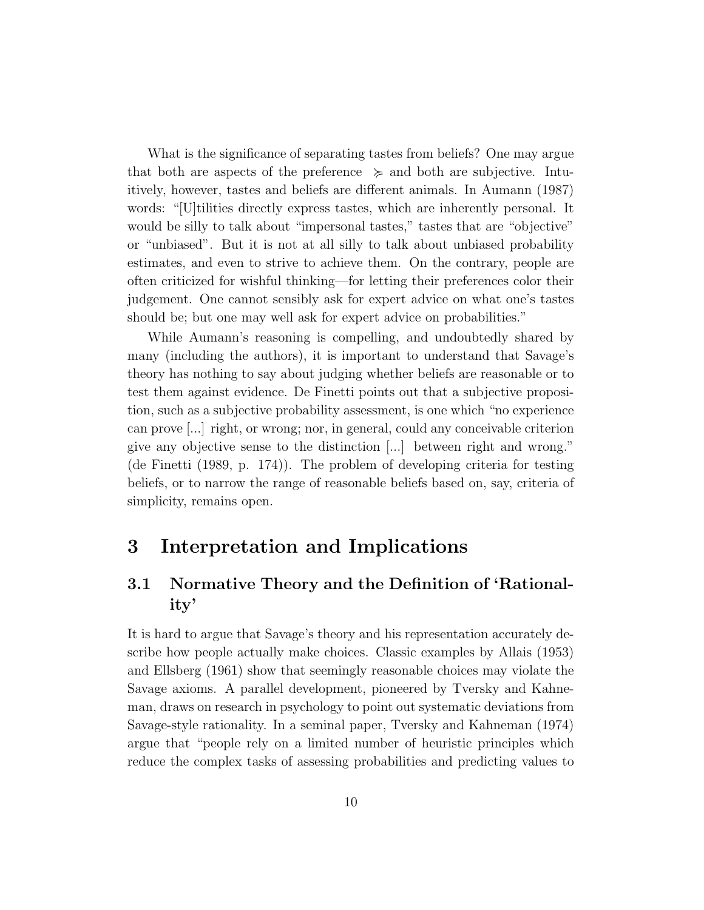What is the significance of separating tastes from beliefs? One may argue that both are aspects of the preference  $\geq$  and both are subjective. Intuitively, however, tastes and beliefs are different animals. In Aumann (1987) words: "[U]tilities directly express tastes, which are inherently personal. It would be silly to talk about "impersonal tastes," tastes that are "objective" or "unbiased". But it is not at all silly to talk about unbiased probability estimates, and even to strive to achieve them. On the contrary, people are often criticized for wishful thinking—for letting their preferences color their judgement. One cannot sensibly ask for expert advice on what one's tastes should be; but one may well ask for expert advice on probabilities."

While Aumann's reasoning is compelling, and undoubtedly shared by many (including the authors), it is important to understand that Savage's theory has nothing to say about judging whether beliefs are reasonable or to test them against evidence. De Finetti points out that a subjective proposition, such as a subjective probability assessment, is one which "no experience can prove [...] right, or wrong; nor, in general, could any conceivable criterion give any objective sense to the distinction [...] between right and wrong." (de Finetti (1989, p. 174)). The problem of developing criteria for testing beliefs, or to narrow the range of reasonable beliefs based on, say, criteria of simplicity, remains open.

# <span id="page-11-0"></span>3 Interpretation and Implications

### <span id="page-11-1"></span>3.1 Normative Theory and the Definition of 'Rationality'

It is hard to argue that Savage's theory and his representation accurately describe how people actually make choices. Classic examples by Allais (1953) and Ellsberg (1961) show that seemingly reasonable choices may violate the Savage axioms. A parallel development, pioneered by Tversky and Kahneman, draws on research in psychology to point out systematic deviations from Savage-style rationality. In a seminal paper, Tversky and Kahneman (1974) argue that "people rely on a limited number of heuristic principles which reduce the complex tasks of assessing probabilities and predicting values to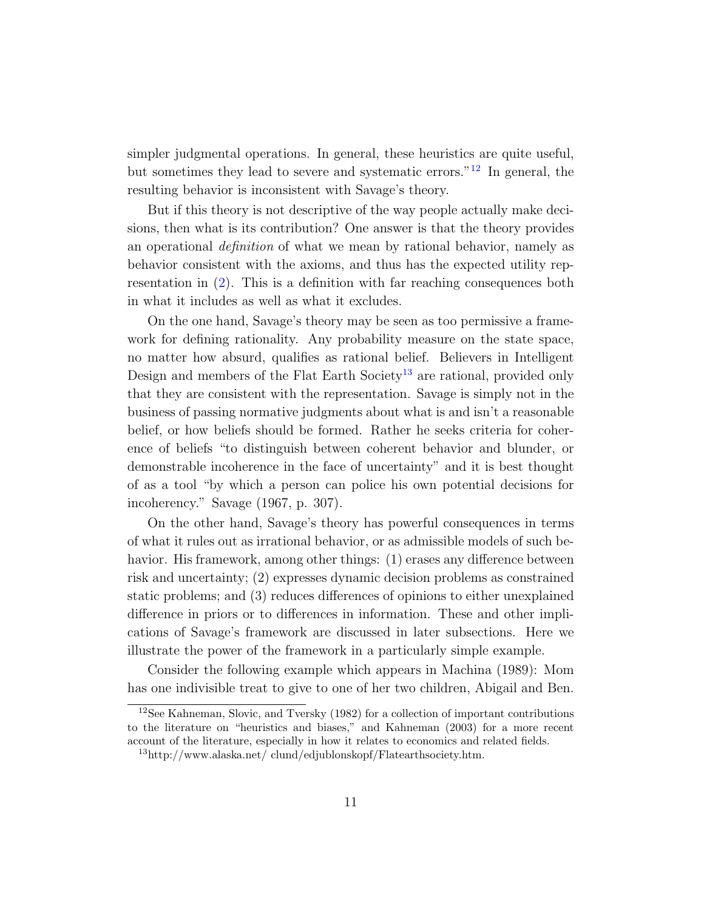simpler judgmental operations. In general, these heuristics are quite useful, but sometimes they lead to severe and systematic errors."[12](#page-12-0) In general, the resulting behavior is inconsistent with Savage's theory.

But if this theory is not descriptive of the way people actually make decisions, then what is its contribution? One answer is that the theory provides an operational definition of what we mean by rational behavior, namely as behavior consistent with the axioms, and thus has the expected utility representation in [\(2\)](#page-9-3). This is a definition with far reaching consequences both in what it includes as well as what it excludes.

On the one hand, Savage's theory may be seen as too permissive a framework for defining rationality. Any probability measure on the state space, no matter how absurd, qualifies as rational belief. Believers in Intelligent Design and members of the Flat Earth Society<sup>[13](#page-12-1)</sup> are rational, provided only that they are consistent with the representation. Savage is simply not in the business of passing normative judgments about what is and isn't a reasonable belief, or how beliefs should be formed. Rather he seeks criteria for coherence of beliefs "to distinguish between coherent behavior and blunder, or demonstrable incoherence in the face of uncertainty" and it is best thought of as a tool "by which a person can police his own potential decisions for incoherency." Savage (1967, p. 307).

On the other hand, Savage's theory has powerful consequences in terms of what it rules out as irrational behavior, or as admissible models of such behavior. His framework, among other things: (1) erases any difference between risk and uncertainty; (2) expresses dynamic decision problems as constrained static problems; and (3) reduces differences of opinions to either unexplained difference in priors or to differences in information. These and other implications of Savage's framework are discussed in later subsections. Here we illustrate the power of the framework in a particularly simple example.

Consider the following example which appears in Machina (1989): Mom has one indivisible treat to give to one of her two children, Abigail and Ben.

<span id="page-12-0"></span> $12$ See Kahneman, Slovic, and Tversky (1982) for a collection of important contributions to the literature on "heuristics and biases," and Kahneman (2003) for a more recent account of the literature, especially in how it relates to economics and related fields.

<span id="page-12-1"></span><sup>13</sup>http://www.alaska.net/ clund/edjublonskopf/Flatearthsociety.htm.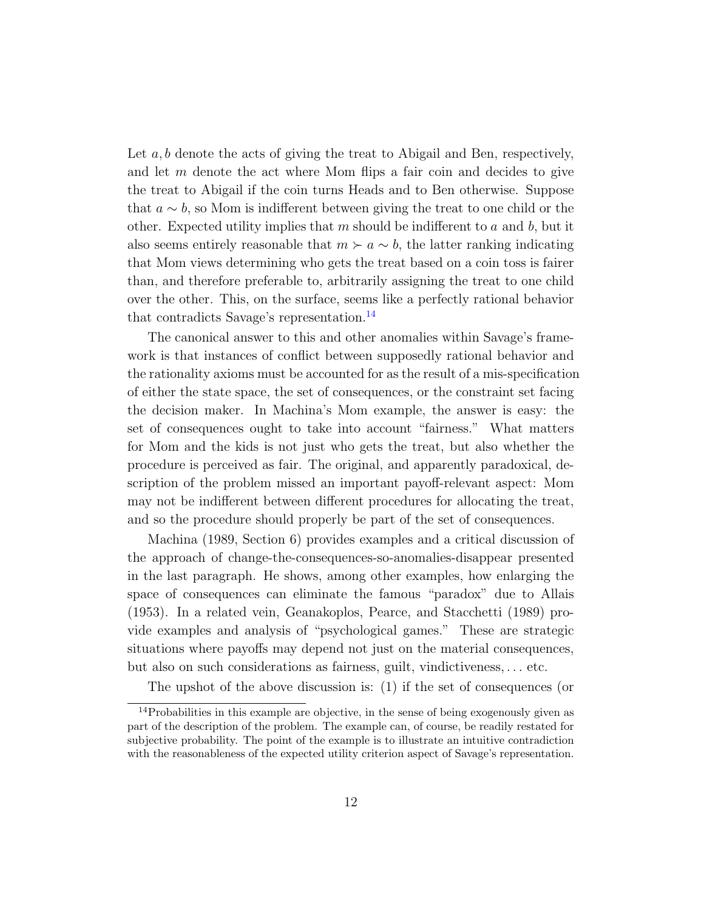Let  $a, b$  denote the acts of giving the treat to Abigail and Ben, respectively, and let m denote the act where Mom flips a fair coin and decides to give the treat to Abigail if the coin turns Heads and to Ben otherwise. Suppose that  $a \sim b$ , so Mom is indifferent between giving the treat to one child or the other. Expected utility implies that m should be indifferent to a and b, but it also seems entirely reasonable that  $m \succ a \sim b$ , the latter ranking indicating that Mom views determining who gets the treat based on a coin toss is fairer than, and therefore preferable to, arbitrarily assigning the treat to one child over the other. This, on the surface, seems like a perfectly rational behavior that contradicts Savage's representation.<sup>[14](#page-13-0)</sup>

The canonical answer to this and other anomalies within Savage's framework is that instances of conflict between supposedly rational behavior and the rationality axioms must be accounted for as the result of a mis-specification of either the state space, the set of consequences, or the constraint set facing the decision maker. In Machina's Mom example, the answer is easy: the set of consequences ought to take into account "fairness." What matters for Mom and the kids is not just who gets the treat, but also whether the procedure is perceived as fair. The original, and apparently paradoxical, description of the problem missed an important payoff-relevant aspect: Mom may not be indifferent between different procedures for allocating the treat, and so the procedure should properly be part of the set of consequences.

Machina (1989, Section 6) provides examples and a critical discussion of the approach of change-the-consequences-so-anomalies-disappear presented in the last paragraph. He shows, among other examples, how enlarging the space of consequences can eliminate the famous "paradox" due to Allais (1953). In a related vein, Geanakoplos, Pearce, and Stacchetti (1989) provide examples and analysis of "psychological games." These are strategic situations where payoffs may depend not just on the material consequences, but also on such considerations as fairness, guilt, vindictiveness, . . . etc.

<span id="page-13-0"></span>The upshot of the above discussion is: (1) if the set of consequences (or

 $14$ Probabilities in this example are objective, in the sense of being exogenously given as part of the description of the problem. The example can, of course, be readily restated for subjective probability. The point of the example is to illustrate an intuitive contradiction with the reasonableness of the expected utility criterion aspect of Savage's representation.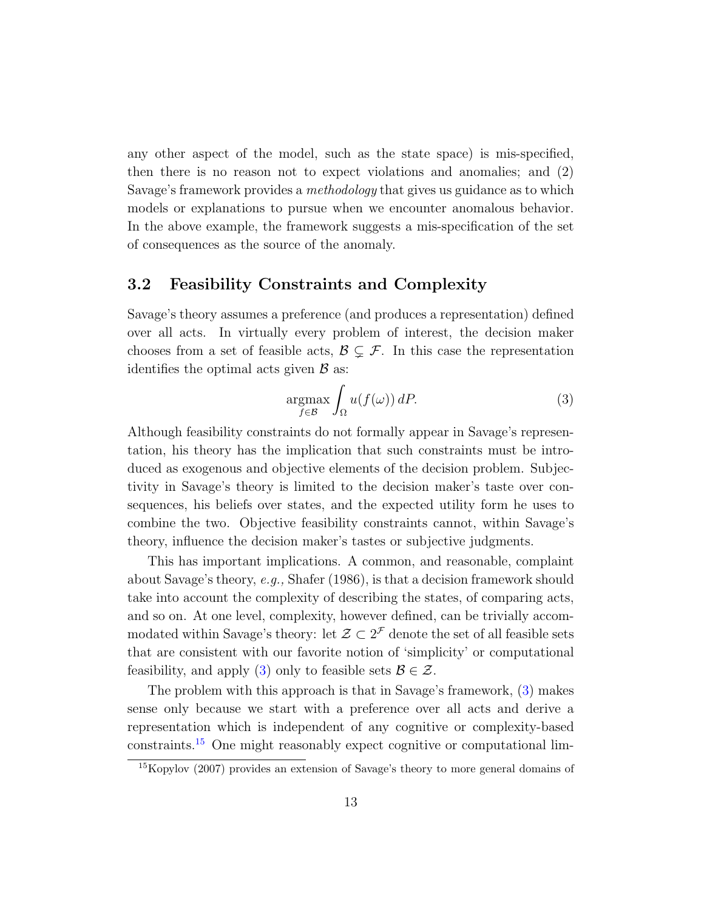any other aspect of the model, such as the state space) is mis-specified, then there is no reason not to expect violations and anomalies; and (2) Savage's framework provides a methodology that gives us guidance as to which models or explanations to pursue when we encounter anomalous behavior. In the above example, the framework suggests a mis-specification of the set of consequences as the source of the anomaly.

### <span id="page-14-0"></span>3.2 Feasibility Constraints and Complexity

Savage's theory assumes a preference (and produces a representation) defined over all acts. In virtually every problem of interest, the decision maker chooses from a set of feasible acts,  $\mathcal{B} \subsetneq \mathcal{F}$ . In this case the representation identifies the optimal acts given  $\beta$  as:

<span id="page-14-1"></span>
$$
\underset{f \in \mathcal{B}}{\operatorname{argmax}} \int_{\Omega} u(f(\omega)) \, dP. \tag{3}
$$

Although feasibility constraints do not formally appear in Savage's representation, his theory has the implication that such constraints must be introduced as exogenous and objective elements of the decision problem. Subjectivity in Savage's theory is limited to the decision maker's taste over consequences, his beliefs over states, and the expected utility form he uses to combine the two. Objective feasibility constraints cannot, within Savage's theory, influence the decision maker's tastes or subjective judgments.

This has important implications. A common, and reasonable, complaint about Savage's theory, e.g., Shafer (1986), is that a decision framework should take into account the complexity of describing the states, of comparing acts, and so on. At one level, complexity, however defined, can be trivially accommodated within Savage's theory: let  $\mathcal{Z} \subset 2^{\mathcal{F}}$  denote the set of all feasible sets that are consistent with our favorite notion of 'simplicity' or computational feasibility, and apply [\(3\)](#page-14-1) only to feasible sets  $\mathcal{B} \in \mathcal{Z}$ .

The problem with this approach is that in Savage's framework, [\(3\)](#page-14-1) makes sense only because we start with a preference over all acts and derive a representation which is independent of any cognitive or complexity-based constraints.[15](#page-14-2) One might reasonably expect cognitive or computational lim-

<span id="page-14-2"></span><sup>15</sup>Kopylov (2007) provides an extension of Savage's theory to more general domains of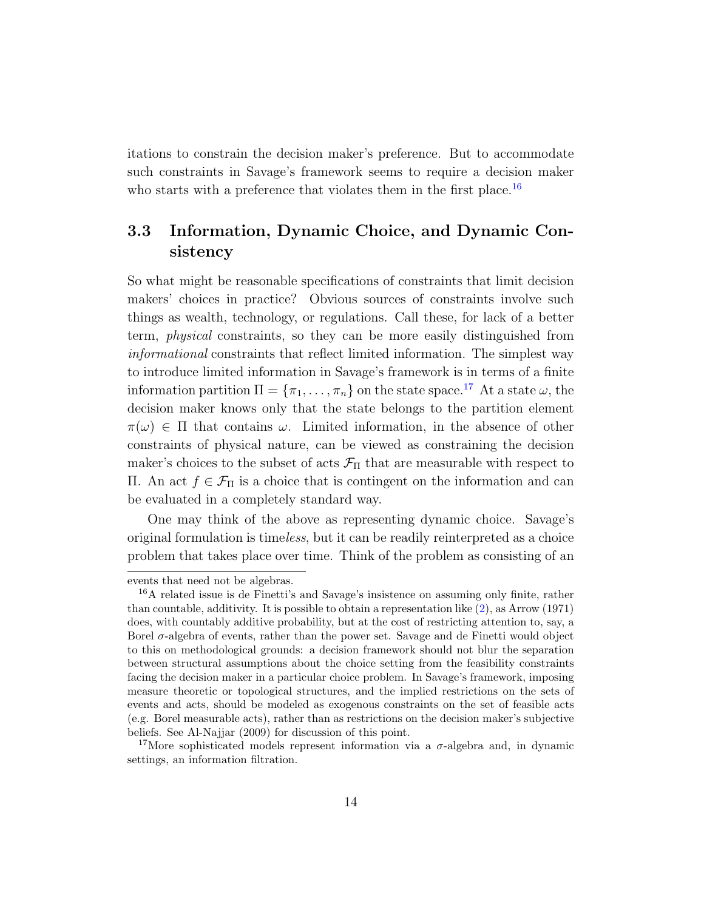itations to constrain the decision maker's preference. But to accommodate such constraints in Savage's framework seems to require a decision maker who starts with a preference that violates them in the first place.<sup>[16](#page-15-1)</sup>

### <span id="page-15-0"></span>3.3 Information, Dynamic Choice, and Dynamic Consistency

So what might be reasonable specifications of constraints that limit decision makers' choices in practice? Obvious sources of constraints involve such things as wealth, technology, or regulations. Call these, for lack of a better term, physical constraints, so they can be more easily distinguished from informational constraints that reflect limited information. The simplest way to introduce limited information in Savage's framework is in terms of a finite information partition  $\Pi = {\pi_1, \ldots, \pi_n}$  on the state space.<sup>[17](#page-15-2)</sup> At a state  $\omega$ , the decision maker knows only that the state belongs to the partition element  $\pi(\omega) \in \Pi$  that contains  $\omega$ . Limited information, in the absence of other constraints of physical nature, can be viewed as constraining the decision maker's choices to the subset of acts  $\mathcal{F}_{\Pi}$  that are measurable with respect to Π. An act  $f$  ∈  $\mathcal{F}_\Pi$  is a choice that is contingent on the information and can be evaluated in a completely standard way.

One may think of the above as representing dynamic choice. Savage's original formulation is timeless, but it can be readily reinterpreted as a choice problem that takes place over time. Think of the problem as consisting of an

events that need not be algebras.

<span id="page-15-1"></span><sup>&</sup>lt;sup>16</sup>A related issue is de Finetti's and Savage's insistence on assuming only finite, rather than countable, additivity. It is possible to obtain a representation like [\(2\)](#page-9-3), as Arrow (1971) does, with countably additive probability, but at the cost of restricting attention to, say, a Borel  $\sigma$ -algebra of events, rather than the power set. Savage and de Finetti would object to this on methodological grounds: a decision framework should not blur the separation between structural assumptions about the choice setting from the feasibility constraints facing the decision maker in a particular choice problem. In Savage's framework, imposing measure theoretic or topological structures, and the implied restrictions on the sets of events and acts, should be modeled as exogenous constraints on the set of feasible acts (e.g. Borel measurable acts), rather than as restrictions on the decision maker's subjective beliefs. See Al-Najjar (2009) for discussion of this point.

<span id="page-15-2"></span><sup>&</sup>lt;sup>17</sup>More sophisticated models represent information via a  $\sigma$ -algebra and, in dynamic settings, an information filtration.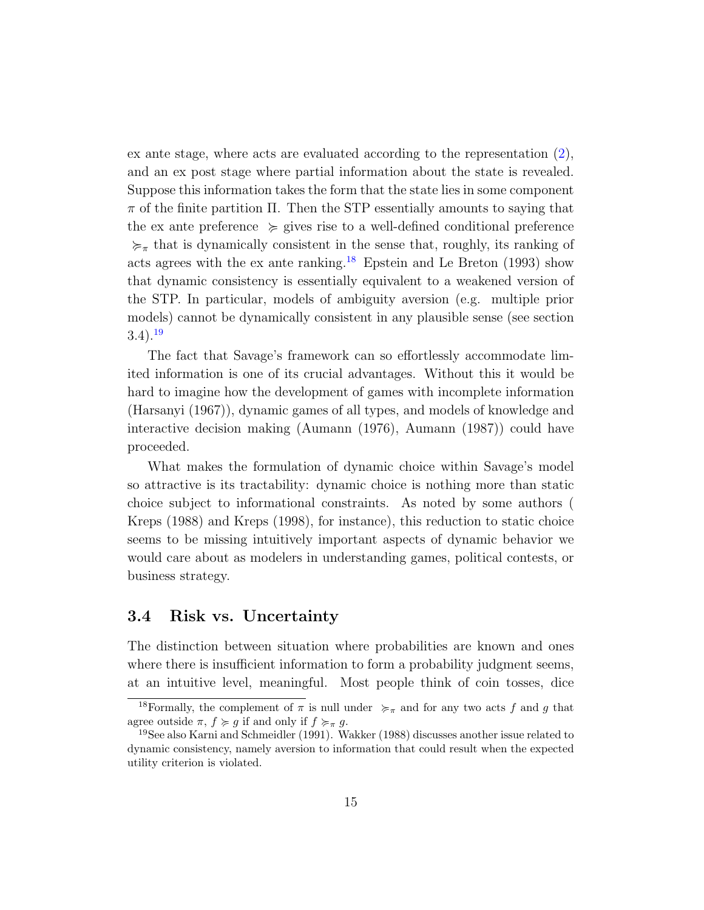ex ante stage, where acts are evaluated according to the representation [\(2\)](#page-9-3), and an ex post stage where partial information about the state is revealed. Suppose this information takes the form that the state lies in some component  $\pi$  of the finite partition  $\Pi$ . Then the STP essentially amounts to saying that the ex ante preference  $\geq$  gives rise to a well-defined conditional preference  $\succcurlyeq_{\pi}$  that is dynamically consistent in the sense that, roughly, its ranking of acts agrees with the ex ante ranking.<sup>[18](#page-16-1)</sup> Epstein and Le Breton  $(1993)$  show that dynamic consistency is essentially equivalent to a weakened version of the STP. In particular, models of ambiguity aversion (e.g. multiple prior models) cannot be dynamically consistent in any plausible sense (see section  $(3.4).^{19}$  $(3.4).^{19}$  $(3.4).^{19}$ 

The fact that Savage's framework can so effortlessly accommodate limited information is one of its crucial advantages. Without this it would be hard to imagine how the development of games with incomplete information (Harsanyi (1967)), dynamic games of all types, and models of knowledge and interactive decision making (Aumann (1976), Aumann (1987)) could have proceeded.

What makes the formulation of dynamic choice within Savage's model so attractive is its tractability: dynamic choice is nothing more than static choice subject to informational constraints. As noted by some authors ( Kreps (1988) and Kreps (1998), for instance), this reduction to static choice seems to be missing intuitively important aspects of dynamic behavior we would care about as modelers in understanding games, political contests, or business strategy.

#### <span id="page-16-0"></span>3.4 Risk vs. Uncertainty

The distinction between situation where probabilities are known and ones where there is insufficient information to form a probability judgment seems, at an intuitive level, meaningful. Most people think of coin tosses, dice

<span id="page-16-1"></span><sup>&</sup>lt;sup>18</sup>Formally, the complement of  $\pi$  is null under  $\succcurlyeq_{\pi}$  and for any two acts f and g that agree outside  $\pi$ ,  $f \ge g$  if and only if  $f \ge_{\pi} g$ .

<span id="page-16-2"></span><sup>19</sup>See also Karni and Schmeidler (1991). Wakker (1988) discusses another issue related to dynamic consistency, namely aversion to information that could result when the expected utility criterion is violated.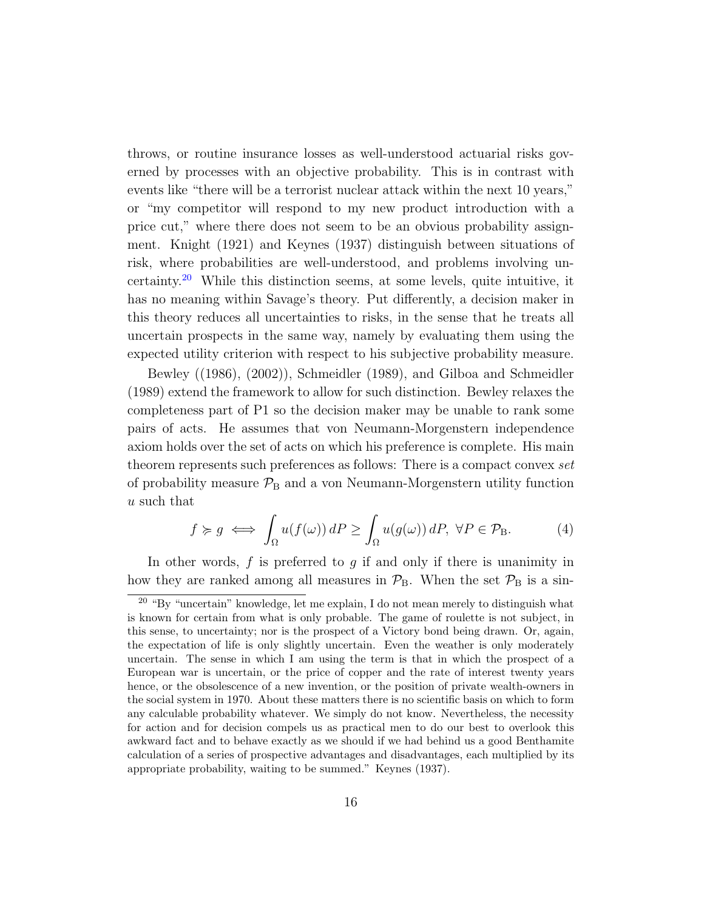throws, or routine insurance losses as well-understood actuarial risks governed by processes with an objective probability. This is in contrast with events like "there will be a terrorist nuclear attack within the next 10 years," or "my competitor will respond to my new product introduction with a price cut," where there does not seem to be an obvious probability assignment. Knight (1921) and Keynes (1937) distinguish between situations of risk, where probabilities are well-understood, and problems involving uncertainty.[20](#page-17-0) While this distinction seems, at some levels, quite intuitive, it has no meaning within Savage's theory. Put differently, a decision maker in this theory reduces all uncertainties to risks, in the sense that he treats all uncertain prospects in the same way, namely by evaluating them using the expected utility criterion with respect to his subjective probability measure.

Bewley ((1986), (2002)), Schmeidler (1989), and Gilboa and Schmeidler (1989) extend the framework to allow for such distinction. Bewley relaxes the completeness part of P1 so the decision maker may be unable to rank some pairs of acts. He assumes that von Neumann-Morgenstern independence axiom holds over the set of acts on which his preference is complete. His main theorem represents such preferences as follows: There is a compact convex set of probability measure  $\mathcal{P}_\mathrm{B}$  and a von Neumann-Morgenstern utility function u such that

<span id="page-17-1"></span>
$$
f \succcurlyeq g \iff \int_{\Omega} u(f(\omega)) \, dP \ge \int_{\Omega} u(g(\omega)) \, dP, \ \forall P \in \mathcal{P}_{\mathcal{B}}.\tag{4}
$$

In other words,  $f$  is preferred to  $g$  if and only if there is unanimity in how they are ranked among all measures in  $\mathcal{P}_{B}$ . When the set  $\mathcal{P}_{B}$  is a sin-

<span id="page-17-0"></span> $20$  "By "uncertain" knowledge, let me explain, I do not mean merely to distinguish what is known for certain from what is only probable. The game of roulette is not subject, in this sense, to uncertainty; nor is the prospect of a Victory bond being drawn. Or, again, the expectation of life is only slightly uncertain. Even the weather is only moderately uncertain. The sense in which I am using the term is that in which the prospect of a European war is uncertain, or the price of copper and the rate of interest twenty years hence, or the obsolescence of a new invention, or the position of private wealth-owners in the social system in 1970. About these matters there is no scientific basis on which to form any calculable probability whatever. We simply do not know. Nevertheless, the necessity for action and for decision compels us as practical men to do our best to overlook this awkward fact and to behave exactly as we should if we had behind us a good Benthamite calculation of a series of prospective advantages and disadvantages, each multiplied by its appropriate probability, waiting to be summed." Keynes (1937).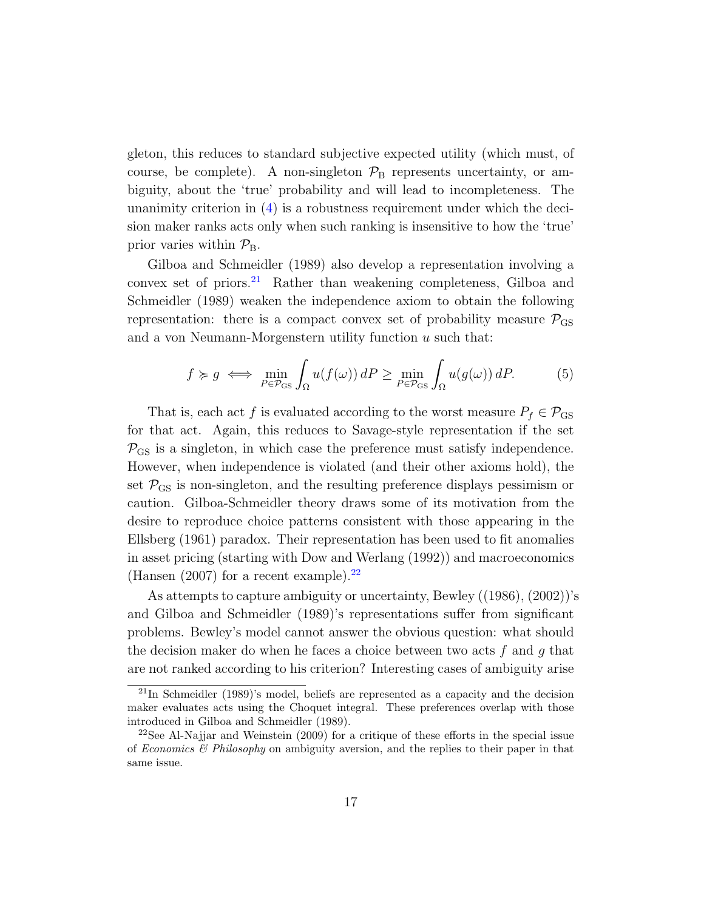gleton, this reduces to standard subjective expected utility (which must, of course, be complete). A non-singleton  $\mathcal{P}_{\rm B}$  represents uncertainty, or ambiguity, about the 'true' probability and will lead to incompleteness. The unanimity criterion in  $(4)$  is a robustness requirement under which the decision maker ranks acts only when such ranking is insensitive to how the 'true' prior varies within  $\mathcal{P}_{B}$ .

Gilboa and Schmeidler (1989) also develop a representation involving a convex set of priors.[21](#page-18-0) Rather than weakening completeness, Gilboa and Schmeidler (1989) weaken the independence axiom to obtain the following representation: there is a compact convex set of probability measure  $\mathcal{P}_{\text{GS}}$ and a von Neumann-Morgenstern utility function u such that:

<span id="page-18-2"></span>
$$
f \succcurlyeq g \iff \min_{P \in \mathcal{P}_{\text{GS}}} \int_{\Omega} u(f(\omega)) \, dP \ge \min_{P \in \mathcal{P}_{\text{GS}}} \int_{\Omega} u(g(\omega)) \, dP. \tag{5}
$$

That is, each act f is evaluated according to the worst measure  $P_f \in \mathcal{P}_{\text{GS}}$ for that act. Again, this reduces to Savage-style representation if the set  $P_{\text{GS}}$  is a singleton, in which case the preference must satisfy independence. However, when independence is violated (and their other axioms hold), the set  $P_{\text{GS}}$  is non-singleton, and the resulting preference displays pessimism or caution. Gilboa-Schmeidler theory draws some of its motivation from the desire to reproduce choice patterns consistent with those appearing in the Ellsberg (1961) paradox. Their representation has been used to fit anomalies in asset pricing (starting with Dow and Werlang (1992)) and macroeconomics (Hansen (2007) for a recent example). $22$ 

As attempts to capture ambiguity or uncertainty, Bewley ((1986), (2002))'s and Gilboa and Schmeidler (1989)'s representations suffer from significant problems. Bewley's model cannot answer the obvious question: what should the decision maker do when he faces a choice between two acts  $f$  and  $g$  that are not ranked according to his criterion? Interesting cases of ambiguity arise

<span id="page-18-0"></span><sup>21</sup>In Schmeidler (1989)'s model, beliefs are represented as a capacity and the decision maker evaluates acts using the Choquet integral. These preferences overlap with those introduced in Gilboa and Schmeidler (1989).

<span id="page-18-1"></span><sup>&</sup>lt;sup>22</sup>See Al-Najjar and Weinstein  $(2009)$  for a critique of these efforts in the special issue of Economics  $\mathcal B$  Philosophy on ambiguity aversion, and the replies to their paper in that same issue.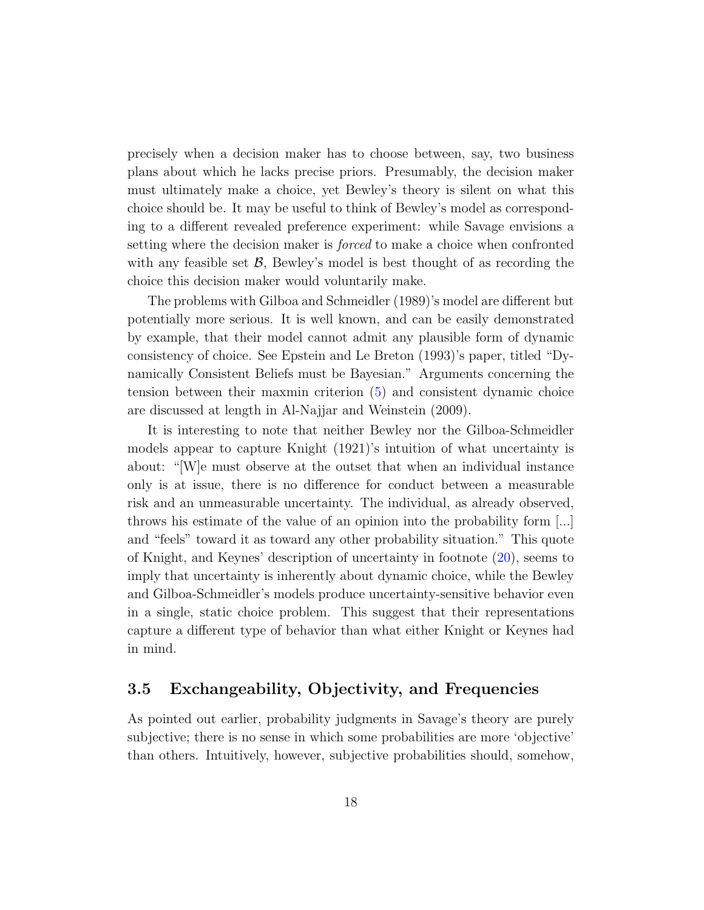precisely when a decision maker has to choose between, say, two business plans about which he lacks precise priors. Presumably, the decision maker must ultimately make a choice, yet Bewley's theory is silent on what this choice should be. It may be useful to think of Bewley's model as corresponding to a different revealed preference experiment: while Savage envisions a setting where the decision maker is forced to make a choice when confronted with any feasible set  $\mathcal{B}$ , Bewley's model is best thought of as recording the choice this decision maker would voluntarily make.

The problems with Gilboa and Schmeidler (1989)'s model are different but potentially more serious. It is well known, and can be easily demonstrated by example, that their model cannot admit any plausible form of dynamic consistency of choice. See Epstein and Le Breton (1993)'s paper, titled "Dynamically Consistent Beliefs must be Bayesian." Arguments concerning the tension between their maxmin criterion [\(5\)](#page-18-2) and consistent dynamic choice are discussed at length in Al-Najjar and Weinstein (2009).

It is interesting to note that neither Bewley nor the Gilboa-Schmeidler models appear to capture Knight (1921)'s intuition of what uncertainty is about: "[W]e must observe at the outset that when an individual instance only is at issue, there is no difference for conduct between a measurable risk and an unmeasurable uncertainty. The individual, as already observed, throws his estimate of the value of an opinion into the probability form [...] and "feels" toward it as toward any other probability situation." This quote of Knight, and Keynes' description of uncertainty in footnote [\(20\)](#page-17-0), seems to imply that uncertainty is inherently about dynamic choice, while the Bewley and Gilboa-Schmeidler's models produce uncertainty-sensitive behavior even in a single, static choice problem. This suggest that their representations capture a different type of behavior than what either Knight or Keynes had in mind.

### <span id="page-19-0"></span>3.5 Exchangeability, Objectivity, and Frequencies

As pointed out earlier, probability judgments in Savage's theory are purely subjective; there is no sense in which some probabilities are more 'objective' than others. Intuitively, however, subjective probabilities should, somehow,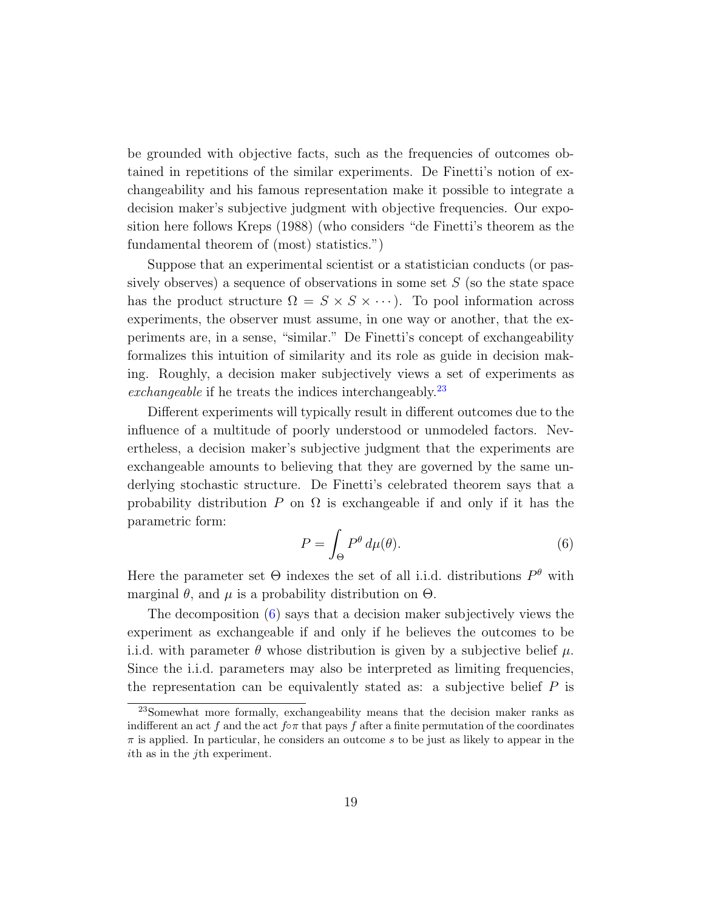be grounded with objective facts, such as the frequencies of outcomes obtained in repetitions of the similar experiments. De Finetti's notion of exchangeability and his famous representation make it possible to integrate a decision maker's subjective judgment with objective frequencies. Our exposition here follows Kreps (1988) (who considers "de Finetti's theorem as the fundamental theorem of (most) statistics.")

Suppose that an experimental scientist or a statistician conducts (or passively observes) a sequence of observations in some set  $S$  (so the state space has the product structure  $\Omega = S \times S \times \cdots$ ). To pool information across experiments, the observer must assume, in one way or another, that the experiments are, in a sense, "similar." De Finetti's concept of exchangeability formalizes this intuition of similarity and its role as guide in decision making. Roughly, a decision maker subjectively views a set of experiments as exchangeable if he treats the indices interchangeably.<sup>[23](#page-20-0)</sup>

Different experiments will typically result in different outcomes due to the influence of a multitude of poorly understood or unmodeled factors. Nevertheless, a decision maker's subjective judgment that the experiments are exchangeable amounts to believing that they are governed by the same underlying stochastic structure. De Finetti's celebrated theorem says that a probability distribution P on  $\Omega$  is exchangeable if and only if it has the parametric form:

<span id="page-20-1"></span>
$$
P = \int_{\Theta} P^{\theta} d\mu(\theta). \tag{6}
$$

Here the parameter set  $\Theta$  indexes the set of all i.i.d. distributions  $P^{\theta}$  with marginal  $\theta$ , and  $\mu$  is a probability distribution on  $\Theta$ .

The decomposition [\(6\)](#page-20-1) says that a decision maker subjectively views the experiment as exchangeable if and only if he believes the outcomes to be i.i.d. with parameter  $\theta$  whose distribution is given by a subjective belief  $\mu$ . Since the i.i.d. parameters may also be interpreted as limiting frequencies, the representation can be equivalently stated as: a subjective belief  $P$  is

<span id="page-20-0"></span><sup>23</sup>Somewhat more formally, exchangeability means that the decision maker ranks as indifferent an act f and the act f∘π that pays f after a finite permutation of the coordinates  $\pi$  is applied. In particular, he considers an outcome s to be just as likely to appear in the ith as in the jth experiment.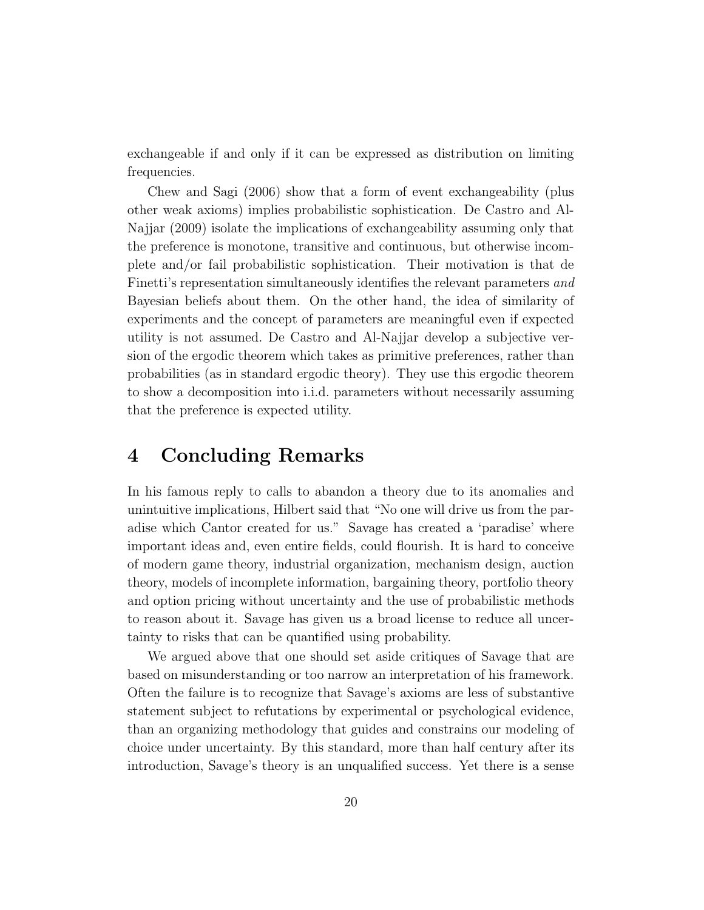exchangeable if and only if it can be expressed as distribution on limiting frequencies.

Chew and Sagi (2006) show that a form of event exchangeability (plus other weak axioms) implies probabilistic sophistication. De Castro and Al-Najjar (2009) isolate the implications of exchangeability assuming only that the preference is monotone, transitive and continuous, but otherwise incomplete and/or fail probabilistic sophistication. Their motivation is that de Finetti's representation simultaneously identifies the relevant parameters and Bayesian beliefs about them. On the other hand, the idea of similarity of experiments and the concept of parameters are meaningful even if expected utility is not assumed. De Castro and Al-Najjar develop a subjective version of the ergodic theorem which takes as primitive preferences, rather than probabilities (as in standard ergodic theory). They use this ergodic theorem to show a decomposition into i.i.d. parameters without necessarily assuming that the preference is expected utility.

# <span id="page-21-0"></span>4 Concluding Remarks

In his famous reply to calls to abandon a theory due to its anomalies and unintuitive implications, Hilbert said that "No one will drive us from the paradise which Cantor created for us." Savage has created a 'paradise' where important ideas and, even entire fields, could flourish. It is hard to conceive of modern game theory, industrial organization, mechanism design, auction theory, models of incomplete information, bargaining theory, portfolio theory and option pricing without uncertainty and the use of probabilistic methods to reason about it. Savage has given us a broad license to reduce all uncertainty to risks that can be quantified using probability.

We argued above that one should set aside critiques of Savage that are based on misunderstanding or too narrow an interpretation of his framework. Often the failure is to recognize that Savage's axioms are less of substantive statement subject to refutations by experimental or psychological evidence, than an organizing methodology that guides and constrains our modeling of choice under uncertainty. By this standard, more than half century after its introduction, Savage's theory is an unqualified success. Yet there is a sense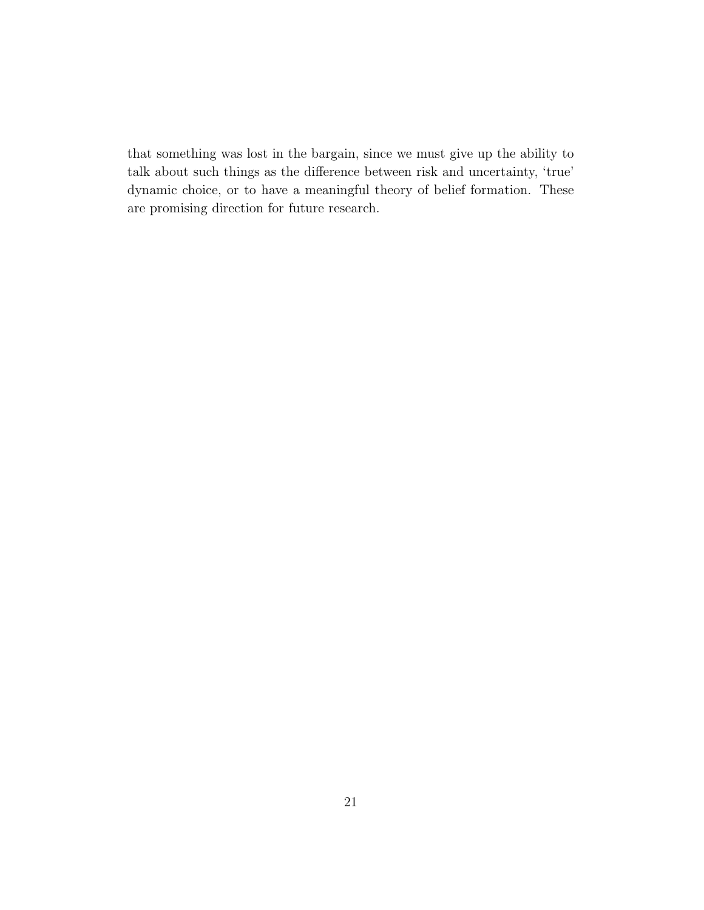that something was lost in the bargain, since we must give up the ability to talk about such things as the difference between risk and uncertainty, 'true' dynamic choice, or to have a meaningful theory of belief formation. These are promising direction for future research.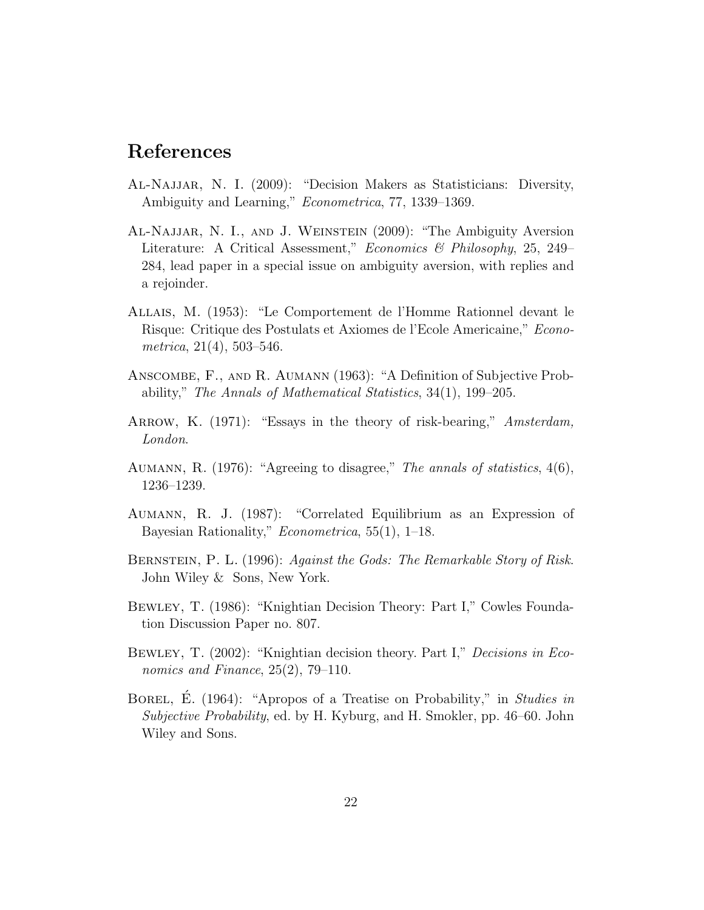# References

- Al-Najjar, N. I. (2009): "Decision Makers as Statisticians: Diversity, Ambiguity and Learning," Econometrica, 77, 1339–1369.
- Al-Najjar, N. I., and J. Weinstein (2009): "The Ambiguity Aversion Literature: A Critical Assessment," Economics & Philosophy, 25, 249– 284, lead paper in a special issue on ambiguity aversion, with replies and a rejoinder.
- Allais, M. (1953): "Le Comportement de l'Homme Rationnel devant le Risque: Critique des Postulats et Axiomes de l'Ecole Americaine," Econometrica, 21(4), 503–546.
- Anscombe, F., and R. Aumann (1963): "A Definition of Subjective Probability," The Annals of Mathematical Statistics, 34(1), 199–205.
- ARROW, K. (1971): "Essays in the theory of risk-bearing," Amsterdam, London.
- Aumann, R. (1976): "Agreeing to disagree," The annals of statistics, 4(6), 1236–1239.
- Aumann, R. J. (1987): "Correlated Equilibrium as an Expression of Bayesian Rationality," Econometrica, 55(1), 1–18.
- Bernstein, P. L. (1996): Against the Gods: The Remarkable Story of Risk. John Wiley & Sons, New York.
- Bewley, T. (1986): "Knightian Decision Theory: Part I," Cowles Foundation Discussion Paper no. 807.
- Bewley, T. (2002): "Knightian decision theory. Part I," Decisions in Economics and Finance, 25(2), 79–110.
- BOREL, E. (1964): "Apropos of a Treatise on Probability," in Studies in Subjective Probability, ed. by H. Kyburg, and H. Smokler, pp. 46–60. John Wiley and Sons.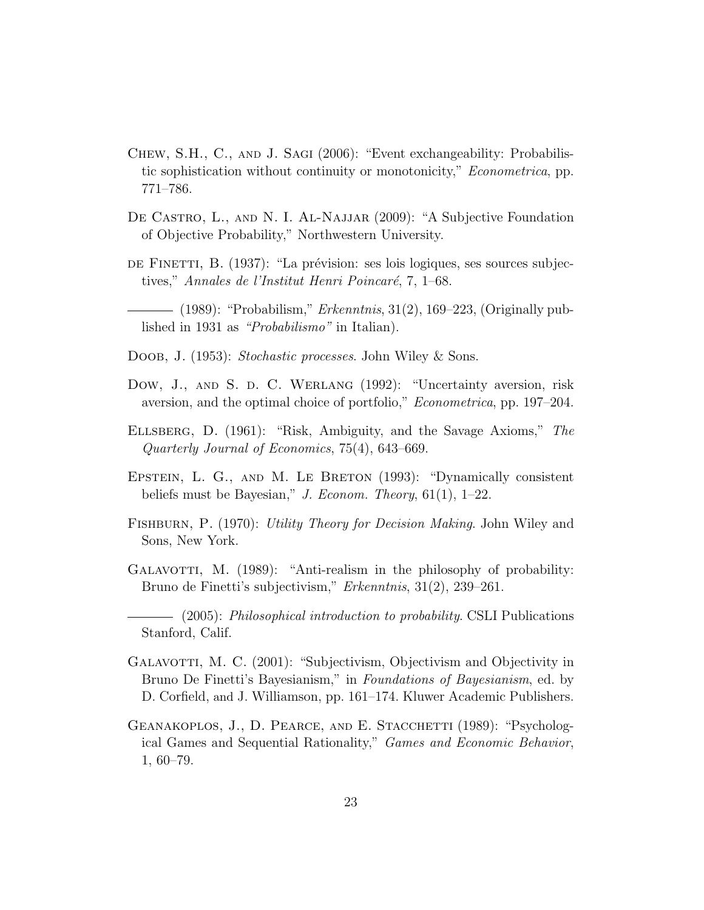- Chew, S.H., C., and J. Sagi (2006): "Event exchangeability: Probabilistic sophistication without continuity or monotonicity," Econometrica, pp. 771–786.
- De Castro, L., and N. I. Al-Najjar (2009): "A Subjective Foundation of Objective Probability," Northwestern University.
- de FINETTI, B. (1937): "La prévision: ses lois logiques, ses sources subjectives," Annales de l'Institut Henri Poincaré, 7, 1–68.

 $-$  (1989): "Probabilism," Erkenntnis, 31(2), 169–223, (Originally published in 1931 as "Probabilismo" in Italian).

- DOOB, J. (1953): Stochastic processes. John Wiley & Sons.
- Dow, J., AND S. D. C. WERLANG (1992): "Uncertainty aversion, risk aversion, and the optimal choice of portfolio," Econometrica, pp. 197–204.
- Ellsberg, D. (1961): "Risk, Ambiguity, and the Savage Axioms," The Quarterly Journal of Economics, 75(4), 643–669.
- EPSTEIN, L. G., AND M. LE BRETON (1993): "Dynamically consistent beliefs must be Bayesian," J. Econom. Theory,  $61(1)$ ,  $1-22$ .
- FISHBURN, P. (1970): Utility Theory for Decision Making. John Wiley and Sons, New York.
- GALAVOTTI, M. (1989): "Anti-realism in the philosophy of probability: Bruno de Finetti's subjectivism," Erkenntnis, 31(2), 239–261.
	- $-$  (2005): Philosophical introduction to probability. CSLI Publications Stanford, Calif.
- Galavotti, M. C. (2001): "Subjectivism, Objectivism and Objectivity in Bruno De Finetti's Bayesianism," in Foundations of Bayesianism, ed. by D. Corfield, and J. Williamson, pp. 161–174. Kluwer Academic Publishers.
- GEANAKOPLOS, J., D. PEARCE, AND E. STACCHETTI (1989): "Psychological Games and Sequential Rationality," Games and Economic Behavior, 1, 60–79.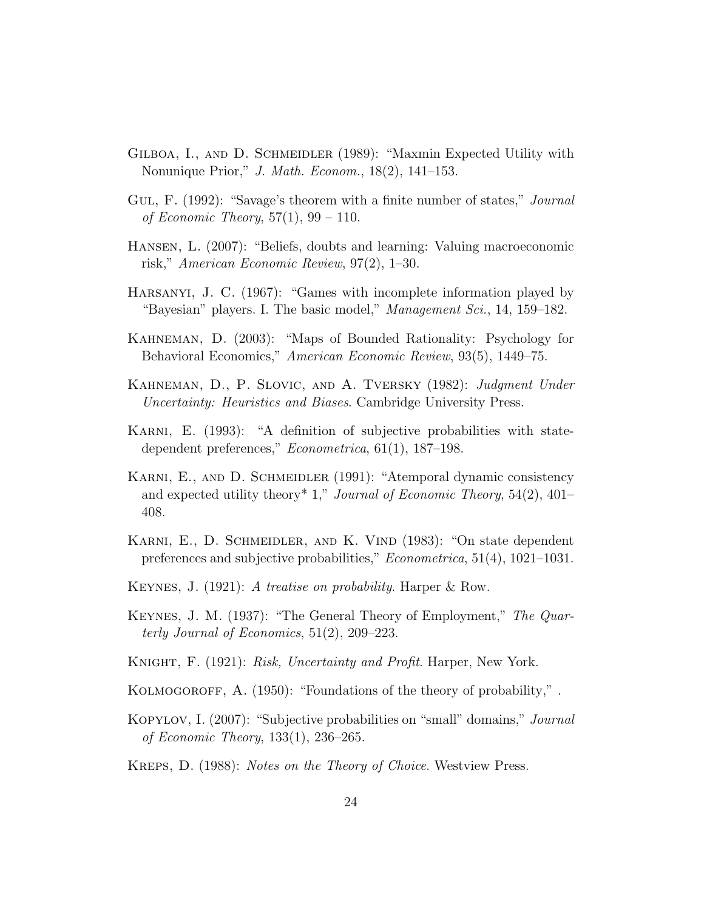- GILBOA, I., AND D. SCHMEIDLER (1989): "Maxmin Expected Utility with Nonunique Prior," J. Math. Econom., 18(2), 141–153.
- GUL, F. (1992): "Savage's theorem with a finite number of states," *Journal* of Economic Theory,  $57(1)$ ,  $99 - 110$ .
- Hansen, L. (2007): "Beliefs, doubts and learning: Valuing macroeconomic risk," American Economic Review, 97(2), 1–30.
- Harsanyi, J. C. (1967): "Games with incomplete information played by "Bayesian" players. I. The basic model," Management Sci., 14, 159–182.
- Kahneman, D. (2003): "Maps of Bounded Rationality: Psychology for Behavioral Economics," American Economic Review, 93(5), 1449–75.
- KAHNEMAN, D., P. SLOVIC, AND A. TVERSKY (1982): Judgment Under Uncertainty: Heuristics and Biases. Cambridge University Press.
- Karni, E. (1993): "A definition of subjective probabilities with statedependent preferences," Econometrica, 61(1), 187–198.
- KARNI, E., AND D. SCHMEIDLER (1991): "Atemporal dynamic consistency and expected utility theory<sup>\*</sup> 1," *Journal of Economic Theory*, 54(2), 401– 408.
- KARNI, E., D. SCHMEIDLER, AND K. VIND (1983): "On state dependent preferences and subjective probabilities," Econometrica, 51(4), 1021–1031.
- Keynes, J. (1921): A treatise on probability. Harper & Row.
- Keynes, J. M. (1937): "The General Theory of Employment," The Quarterly Journal of Economics, 51(2), 209–223.
- Knight, F. (1921): Risk, Uncertainty and Profit. Harper, New York.
- Kolmogoroff, A. (1950): "Foundations of the theory of probability," .
- Kopylov, I. (2007): "Subjective probabilities on "small" domains," Journal of Economic Theory, 133(1), 236–265.
- Kreps, D. (1988): Notes on the Theory of Choice. Westview Press.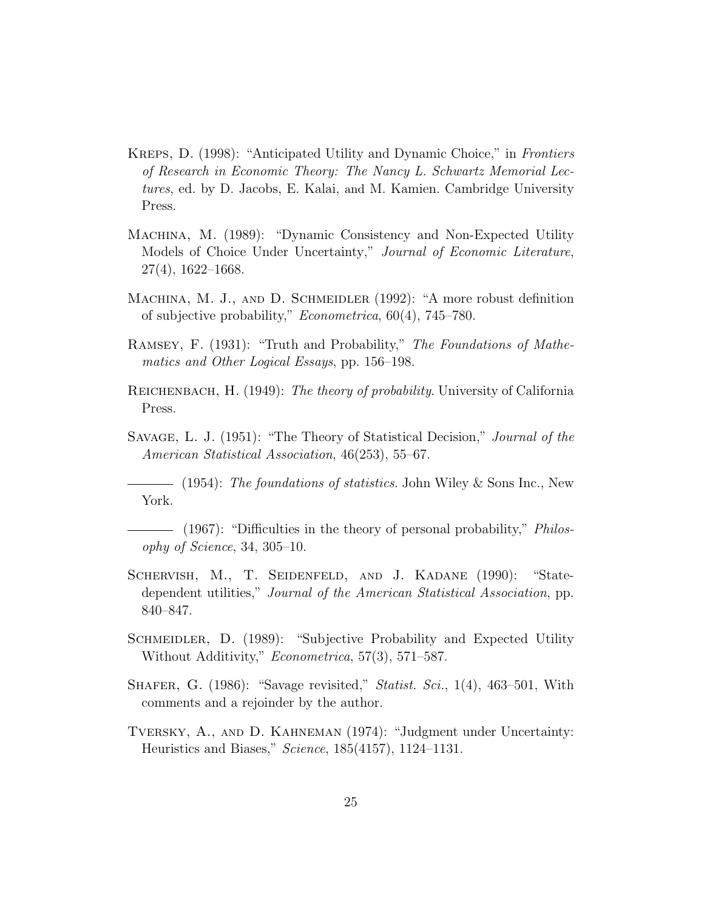- Kreps, D. (1998): "Anticipated Utility and Dynamic Choice," in Frontiers of Research in Economic Theory: The Nancy L. Schwartz Memorial Lectures, ed. by D. Jacobs, E. Kalai, and M. Kamien. Cambridge University Press.
- Machina, M. (1989): "Dynamic Consistency and Non-Expected Utility Models of Choice Under Uncertainty," Journal of Economic Literature, 27(4), 1622–1668.
- MACHINA, M. J., AND D. SCHMEIDLER (1992): "A more robust definition of subjective probability," Econometrica, 60(4), 745–780.
- Ramsey, F. (1931): "Truth and Probability," The Foundations of Mathematics and Other Logical Essays, pp. 156–198.
- REICHENBACH, H. (1949): The theory of probability. University of California Press.
- Savage, L. J. (1951): "The Theory of Statistical Decision," Journal of the American Statistical Association, 46(253), 55–67.

 $-$  (1954): The foundations of statistics. John Wiley & Sons Inc., New York.

- (1967): "Difficulties in the theory of personal probability," *Philos*ophy of Science, 34, 305–10.

- Schervish, M., T. Seidenfeld, and J. Kadane (1990): "Statedependent utilities," Journal of the American Statistical Association, pp. 840–847.
- SCHMEIDLER, D. (1989): "Subjective Probability and Expected Utility Without Additivity," Econometrica, 57(3), 571–587.
- SHAFER, G.  $(1986)$ : "Savage revisited," *Statist. Sci.*,  $1(4)$ ,  $463-501$ , With comments and a rejoinder by the author.
- Tversky, A., and D. Kahneman (1974): "Judgment under Uncertainty: Heuristics and Biases," Science, 185(4157), 1124–1131.